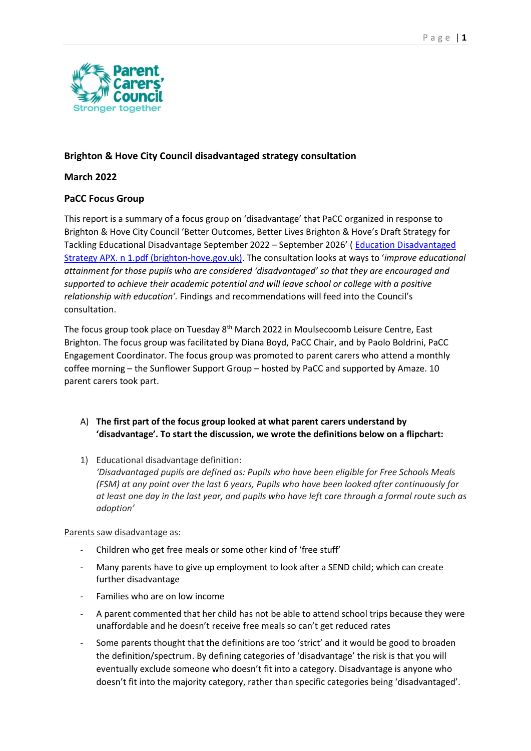

# **Brighton & Hove City Council disadvantaged strategy consultation**

# **March 2022**

# **PaCC Focus Group**

This report is a summary of a focus group on 'disadvantage' that PaCC organized in response to Brighton & Hove City Council 'Better Outcomes, Better Lives Brighton & Hove's Draft Strategy for Tackling Educational Disadvantage September 2022 – September 2026' ( [Education Disadvantaged](https://democracy.brighton-hove.gov.uk/documents/s172899/Education%20Disadvantaged%20Strategy%20APX.%20n%201.pdf)  [Strategy APX. n 1.pdf \(brighton-hove.gov.uk\)](https://democracy.brighton-hove.gov.uk/documents/s172899/Education%20Disadvantaged%20Strategy%20APX.%20n%201.pdf). The consultation looks at ways to '*improve educational attainment for those pupils who are considered 'disadvantaged' so that they are encouraged and supported to achieve their academic potential and will leave school or college with a positive relationship with education'.* Findings and recommendations will feed into the Council's consultation.

The focus group took place on Tuesday 8<sup>th</sup> March 2022 in Moulsecoomb Leisure Centre, East Brighton. The focus group was facilitated by Diana Boyd, PaCC Chair, and by Paolo Boldrini, PaCC Engagement Coordinator. The focus group was promoted to parent carers who attend a monthly coffee morning – the Sunflower Support Group – hosted by PaCC and supported by Amaze. 10 parent carers took part.

- A) **The first part of the focus group looked at what parent carers understand by 'disadvantage'. To start the discussion, we wrote the definitions below on a flipchart:**
- 1) Educational disadvantage definition: *'Disadvantaged pupils are defined as: Pupils who have been eligible for Free Schools Meals (FSM) at any point over the last 6 years, Pupils who have been looked after continuously for at least one day in the last year, and pupils who have left care through a formal route such as adoption'*

## Parents saw disadvantage as:

- Children who get free meals or some other kind of 'free stuff'
- Many parents have to give up employment to look after a SEND child; which can create further disadvantage
- Families who are on low income
- A parent commented that her child has not be able to attend school trips because they were unaffordable and he doesn't receive free meals so can't get reduced rates
- Some parents thought that the definitions are too 'strict' and it would be good to broaden the definition/spectrum. By defining categories of 'disadvantage' the risk is that you will eventually exclude someone who doesn't fit into a category. Disadvantage is anyone who doesn't fit into the majority category, rather than specific categories being 'disadvantaged'.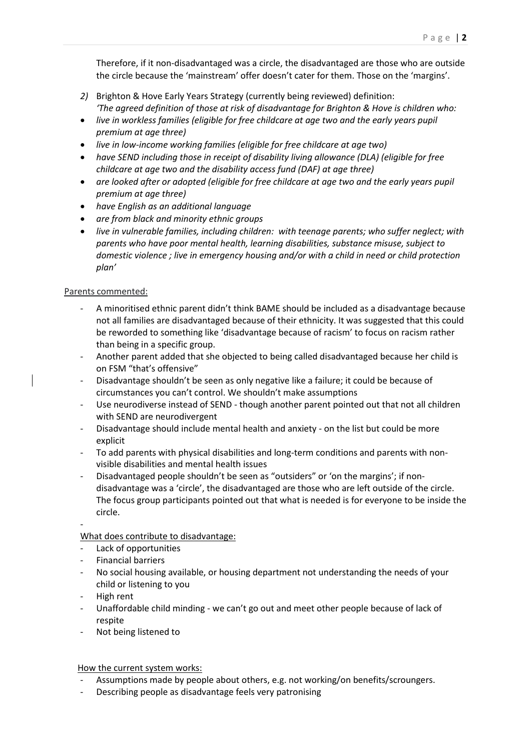Therefore, if it non-disadvantaged was a circle, the disadvantaged are those who are outside the circle because the 'mainstream' offer doesn't cater for them. Those on the 'margins'.

- *2)* Brighton & Hove Early Years Strategy (currently being reviewed) definition: *'The agreed definition of those at risk of disadvantage for Brighton & Hove is children who:*
- *live in workless families (eligible for free childcare at age two and the early years pupil premium at age three)*
- *live in low-income working families (eligible for free childcare at age two)*
- *have SEND including those in receipt of disability living allowance (DLA) (eligible for free childcare at age two and the disability access fund (DAF) at age three)*
- *are looked after or adopted (eligible for free childcare at age two and the early years pupil premium at age three)*
- *have English as an additional language*
- *are from black and minority ethnic groups*
- *live in vulnerable families, including children: with teenage parents; who suffer neglect; with parents who have poor mental health, learning disabilities, substance misuse, subject to domestic violence ; live in emergency housing and/or with a child in need or child protection plan'*

#### Parents commented:

- A minoritised ethnic parent didn't think BAME should be included as a disadvantage because not all families are disadvantaged because of their ethnicity. It was suggested that this could be reworded to something like 'disadvantage because of racism' to focus on racism rather than being in a specific group.
- Another parent added that she objected to being called disadvantaged because her child is on FSM "that's offensive"
- Disadvantage shouldn't be seen as only negative like a failure; it could be because of circumstances you can't control. We shouldn't make assumptions
- Use neurodiverse instead of SEND though another parent pointed out that not all children with SEND are neurodivergent
- Disadvantage should include mental health and anxiety on the list but could be more explicit
- To add parents with physical disabilities and long-term conditions and parents with nonvisible disabilities and mental health issues
- Disadvantaged people shouldn't be seen as "outsiders" or 'on the margins'; if nondisadvantage was a 'circle', the disadvantaged are those who are left outside of the circle. The focus group participants pointed out that what is needed is for everyone to be inside the circle.

-

What does contribute to disadvantage:

- Lack of opportunities
- Financial barriers
- No social housing available, or housing department not understanding the needs of your child or listening to you
- High rent
- Unaffordable child minding we can't go out and meet other people because of lack of respite
- Not being listened to

How the current system works:

- Assumptions made by people about others, e.g. not working/on benefits/scroungers.
- Describing people as disadvantage feels very patronising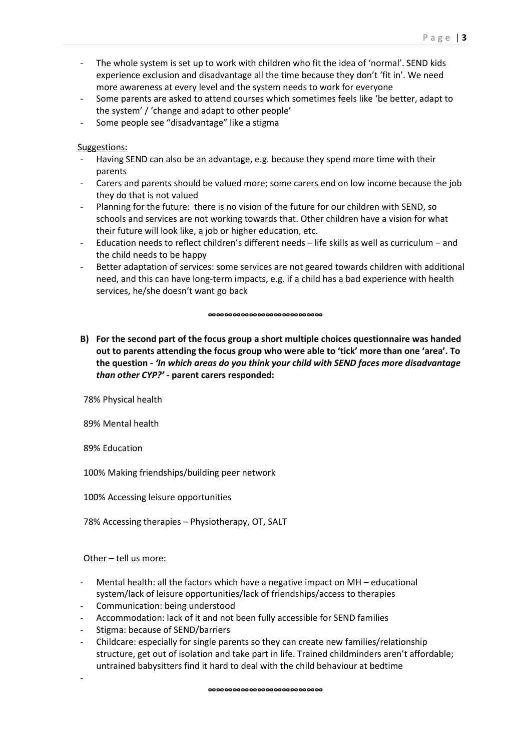- The whole system is set up to work with children who fit the idea of 'normal'. SEND kids experience exclusion and disadvantage all the time because they don't 'fit in'. We need more awareness at every level and the system needs to work for everyone
- Some parents are asked to attend courses which sometimes feels like 'be better, adapt to the system' / 'change and adapt to other people'
- Some people see "disadvantage" like a stigma

#### Suggestions:

- Having SEND can also be an advantage, e.g. because they spend more time with their parents
- Carers and parents should be valued more; some carers end on low income because the job they do that is not valued
- Planning for the future: there is no vision of the future for our children with SEND, so schools and services are not working towards that. Other children have a vision for what their future will look like, a job or higher education, etc.
- Education needs to reflect children's different needs life skills as well as curriculum and the child needs to be happy
- Better adaptation of services: some services are not geared towards children with additional need, and this can have long-term impacts, e.g. if a child has a bad experience with health services, he/she doesn't want go back

#### **∞∞∞∞∞∞∞∞∞∞∞∞∞∞**

**B) For the second part of the focus group a short multiple choices questionnaire was handed out to parents attending the focus group who were able to 'tick' more than one 'area'. To the question -** *'In which areas do you think your child with SEND faces more disadvantage than other CYP?' -* **parent carers responded:**

78% Physical health

89% Mental health

89% Education

100% Making friendships/building peer network

100% Accessing leisure opportunities

78% Accessing therapies – Physiotherapy, OT, SALT

Other – tell us more:

-

- Mental health: all the factors which have a negative impact on  $MH$  educational system/lack of leisure opportunities/lack of friendships/access to therapies
- Communication: being understood
- Accommodation: lack of it and not been fully accessible for SEND families
- Stigma: because of SEND/barriers
- Childcare: especially for single parents so they can create new families/relationship structure, get out of isolation and take part in life. Trained childminders aren't affordable; untrained babysitters find it hard to deal with the child behaviour at bedtime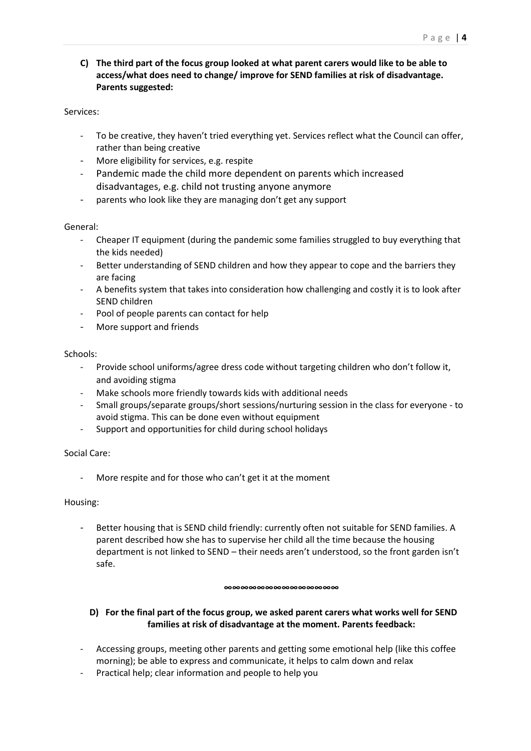**C) The third part of the focus group looked at what parent carers would like to be able to access/what does need to change/ improve for SEND families at risk of disadvantage. Parents suggested:** 

#### Services:

- To be creative, they haven't tried everything yet. Services reflect what the Council can offer, rather than being creative
- More eligibility for services, e.g. respite
- Pandemic made the child more dependent on parents which increased disadvantages, e.g. child not trusting anyone anymore
- parents who look like they are managing don't get any support

#### General:

- Cheaper IT equipment (during the pandemic some families struggled to buy everything that the kids needed)
- Better understanding of SEND children and how they appear to cope and the barriers they are facing
- A benefits system that takes into consideration how challenging and costly it is to look after SEND children
- Pool of people parents can contact for help
- More support and friends

#### Schools:

- Provide school uniforms/agree dress code without targeting children who don't follow it, and avoiding stigma
- Make schools more friendly towards kids with additional needs
- Small groups/separate groups/short sessions/nurturing session in the class for everyone to avoid stigma. This can be done even without equipment
- Support and opportunities for child during school holidays

## Social Care:

More respite and for those who can't get it at the moment

#### Housing:

Better housing that is SEND child friendly: currently often not suitable for SEND families. A parent described how she has to supervise her child all the time because the housing department is not linked to SEND – their needs aren't understood, so the front garden isn't safe.

#### **∞∞∞∞∞∞∞∞∞∞∞∞∞∞**

# **D) For the final part of the focus group, we asked parent carers what works well for SEND families at risk of disadvantage at the moment. Parents feedback:**

- Accessing groups, meeting other parents and getting some emotional help (like this coffee morning); be able to express and communicate, it helps to calm down and relax
- Practical help; clear information and people to help you